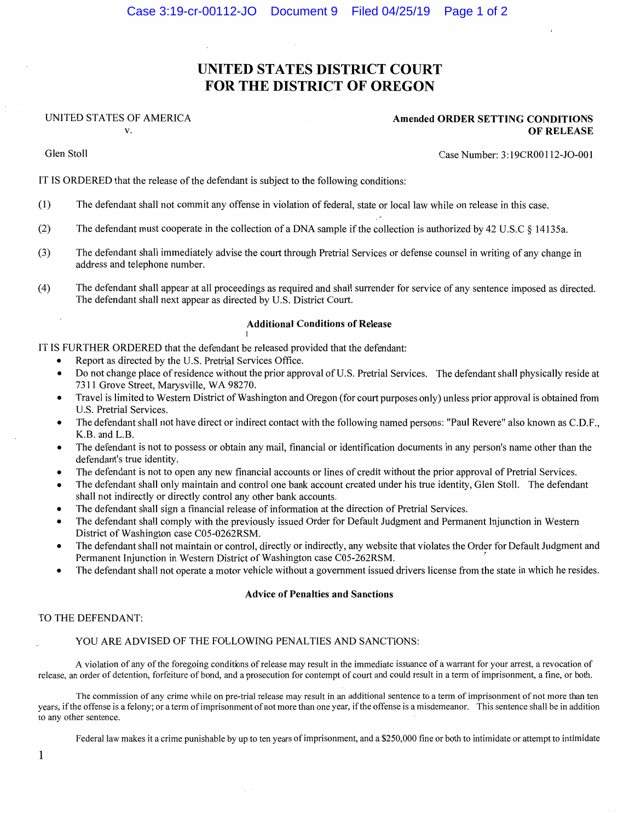# **UNITED STATES DISTRICT COURT FOR THE DISTRICT OF OREGON**

### UNITED STATES OF AMERICA

V.

**Amended ORDER SETTING CONDITIONS OF RELEASE** 

Glen Stoll

Case Number: 3:19CR00112-J0-001

IT IS ORDERED that the release of the defendant is subject to the following conditions:

- (I) The defendant shall not commit any offense in violation of federal, state or local law while on release in this case.
- (2) The defendant must cooperate in the collection of a DNA sample if the collection is authorized by 42 U.S.C § 14135a.
- (3) The defendant shall immediately advise the court through Pretrial Services or defense counsel in writing of any change in address and telephone number.
- (4) The defendant shall appear at all proceedings as required and shall surrender for service of any sentence imposed as directed. The defendant shall next appear as directed by U.S. District Court.

#### **Additional Conditions of Release**

IT IS FURTHER ORDERED that the defendant be released provided that the defendant:

I

- Report as directed by the U.S. Pretrial Services Office.
- Do not change place ofresidence without the prior approval of U.S. Pretrial Services. The defendant shall physically reside at 7311 Grove Street, Marysville, WA 98270.
- Travel is limited to Western District of Washington and Oregon (for court purposes only) unless prior approval is obtained from U.S. Pretrial Services.
- The defendant shall not have direct or indirect contact with the following named persons: "Paul Revere" also known as C.D.F., K.B. and L.B.
- The defendant is not to possess or obtain any mail, financial or identification documents in any person's name other than the defendant's true identity.
- The defendant is not to open any new financial accounts or lines of credit without the prior approval of Pretrial Services.
- The defendant shall only maintain and control one bank account created under his true identity, Glen Stoll. The defendant shall not indirectly or directly control any other bank accounts.
- The defendant shall sign a financial release of information at the direction of Pretrial Services.
- The defendant shall comply with the previously issued Order for Default Judgment and Permanent Injunction in Western District of Washington case C05-0262RSM.
- The defendant shall not maintain or control, directly or indirectly, any website that violates the Order for Default Judgment and Permanent Injunction in Western District of Washington case C05-262RSM. '
- The defendant shall not operate a motor vehicle without a government issued drivers license from the state in which he resides.

#### **Advice of Penalties and Sanctions**

#### TO THE DEFENDANT:

#### YOU ARE ADVISED OF THE FOLLOWING PENALTIES AND SANCTIONS:

A violation of any of the foregoing conditions of release may result in the immediate issuance of a warrant for your arrest, a revocation of release, an order of detention, forfeiture of bond, and a prosecution for contempt of court and could result in a term of imprisonment, a fine, or both.

The commission of any crime while on pre-trial release may result in an additional sentence to a term of imprisonment of not more than ten years, if the offense is a felony; or a term of imprisonment of not more than one year, if the offense is a misdemeanor. This sentence shall be in addition to any other sentence.

Federal law makes it a crime punishable by up to ten years of imprisonment, and a \$250,000 fine or both to intimidate or attempt to intimidate